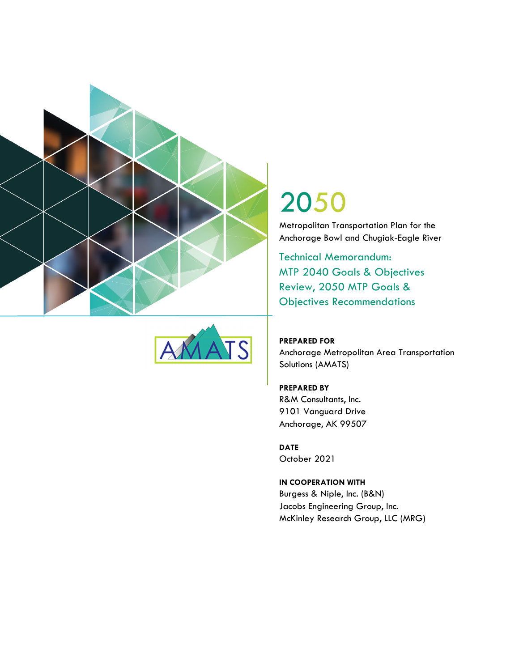



# 2050

Metropolitan Transportation Plan for the Anchorage Bowl and Chugiak-Eagle River

Technical Memorandum: MTP 2040 Goals & Objectives Review, 2050 MTP Goals & Objectives Recommendations

**PREPARED FOR**  Anchorage Metropolitan Area Transportation Solutions (AMATS)

**PREPARED BY**  R&M Consultants, Inc. 9101 Vanguard Drive Anchorage, AK 99507

**DATE**  October 2021

**IN COOPERATION WITH**  Burgess & Niple, Inc. (B&N) Jacobs Engineering Group, Inc. McKinley Research Group, LLC (MRG)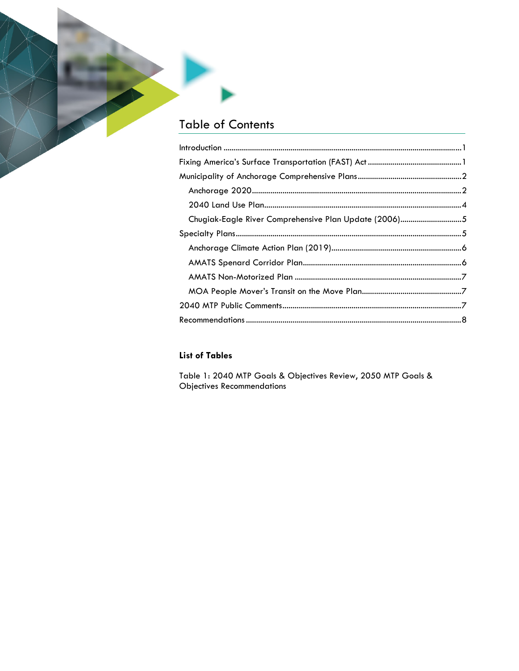## **Table of Contents**

| Chugiak-Eagle River Comprehensive Plan Update (2006)5 |  |
|-------------------------------------------------------|--|
|                                                       |  |
|                                                       |  |
|                                                       |  |
|                                                       |  |
|                                                       |  |
|                                                       |  |
|                                                       |  |
|                                                       |  |

#### **List of Tables**

Table 1: 2040 MTP Goals & Objectives Review, 2050 MTP Goals & **Objectives Recommendations**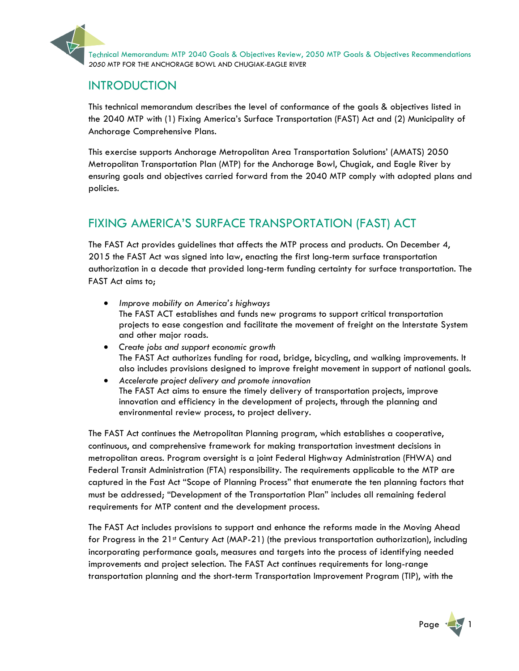

## INTRODUCTION

This technical memorandum describes the level of conformance of the goals & objectives listed in the 2040 MTP with (1) Fixing America's Surface Transportation (FAST) Act and (2) Municipality of Anchorage Comprehensive Plans.

This exercise supports Anchorage Metropolitan Area Transportation Solutions' (AMATS) 2050 Metropolitan Transportation Plan (MTP) for the Anchorage Bowl, Chugiak, and Eagle River by ensuring goals and objectives carried forward from the 2040 MTP comply with adopted plans and policies.

## FIXING AMERICA'S SURFACE TRANSPORTATION (FAST) ACT

The FAST Act provides guidelines that affects the MTP process and products. On December 4, 2015 the FAST Act was signed into law, enacting the first long-term surface transportation authorization in a decade that provided long-term funding certainty for surface transportation. The FAST Act aims to;

- *Improve mobility on America's highways*  The FAST ACT establishes and funds new programs to support critical transportation projects to ease congestion and facilitate the movement of freight on the Interstate System and other major roads.
- *Create jobs and support economic growth*  The FAST Act authorizes funding for road, bridge, bicycling, and walking improvements. It also includes provisions designed to improve freight movement in support of national goals.
- *Accelerate project delivery and promote innovation* The FAST Act aims to ensure the timely delivery of transportation projects, improve innovation and efficiency in the development of projects, through the planning and environmental review process, to project delivery.

The FAST Act continues the Metropolitan Planning program, which establishes a cooperative, continuous, and comprehensive framework for making transportation investment decisions in metropolitan areas. Program oversight is a joint Federal Highway Administration (FHWA) and Federal Transit Administration (FTA) responsibility. The requirements applicable to the MTP are captured in the Fast Act "Scope of Planning Process" that enumerate the ten planning factors that must be addressed; "Development of the Transportation Plan" includes all remaining federal requirements for MTP content and the development process.

The FAST Act includes provisions to support and enhance the reforms made in the Moving Ahead for Progress in the 21<sup>st</sup> Century Act (MAP-21) (the previous transportation authorization), including incorporating performance goals, measures and targets into the process of identifying needed improvements and project selection. The FAST Act continues requirements for long-range transportation planning and the short-term Transportation Improvement Program (TIP), with the

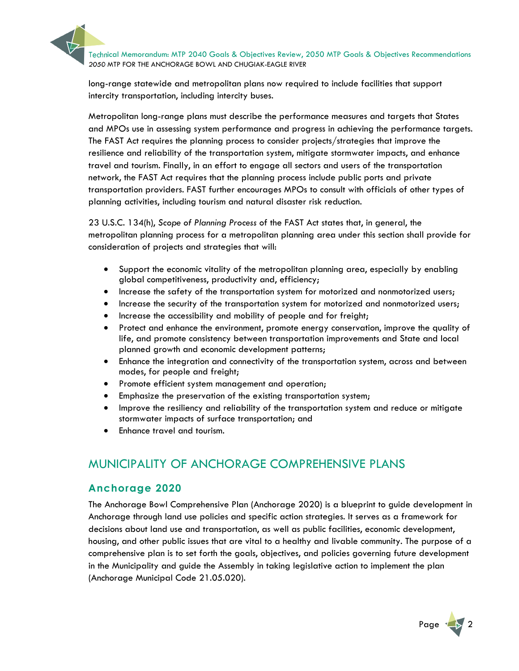Technical Memorandum: MTP 2040 Goals & Objectives Review, 2050 MTP Goals & Objectives Recommendations<br>2050 MTP FOR THE ANCHORAGE BOWL AND CHUGIAK-EAGLE RIVER

long-range statewide and metropolitan plans now required to include facilities that support intercity transportation, including intercity buses.

Metropolitan long-range plans must describe the performance measures and targets that States and MPOs use in assessing system performance and progress in achieving the performance targets. The FAST Act requires the planning process to consider projects/strategies that improve the resilience and reliability of the transportation system, mitigate stormwater impacts, and enhance travel and tourism. Finally, in an effort to engage all sectors and users of the transportation network, the FAST Act requires that the planning process include public ports and private transportation providers. FAST further encourages MPOs to consult with officials of other types of planning activities, including tourism and natural disaster risk reduction.

23 U.S.C. 134(h), *Scope of Planning Process* of the FAST Act states that, in general, the metropolitan planning process for a metropolitan planning area under this section shall provide for consideration of projects and strategies that will:

- Support the economic vitality of the metropolitan planning area, especially by enabling global competitiveness, productivity and, efficiency;
- Increase the safety of the transportation system for motorized and nonmotorized users;
- Increase the security of the transportation system for motorized and nonmotorized users;
- Increase the accessibility and mobility of people and for freight;
- Protect and enhance the environment, promote energy conservation, improve the quality of life, and promote consistency between transportation improvements and State and local planned growth and economic development patterns;
- Enhance the integration and connectivity of the transportation system, across and between modes, for people and freight;
- Promote efficient system management and operation;
- Emphasize the preservation of the existing transportation system;
- Improve the resiliency and reliability of the transportation system and reduce or mitigate stormwater impacts of surface transportation; and
- Enhance travel and tourism.

## MUNICIPALITY OF ANCHORAGE COMPREHENSIVE PLANS

#### **Anchorage 2020**

The Anchorage Bowl Comprehensive Plan (Anchorage 2020) is a blueprint to guide development in Anchorage through land use policies and specific action strategies. It serves as a framework for decisions about land use and transportation, as well as public facilities, economic development, housing, and other public issues that are vital to a healthy and livable community. The purpose of a comprehensive plan is to set forth the goals, objectives, and policies governing future development in the Municipality and guide the Assembly in taking legislative action to implement the plan (Anchorage Municipal Code 21.05.020).

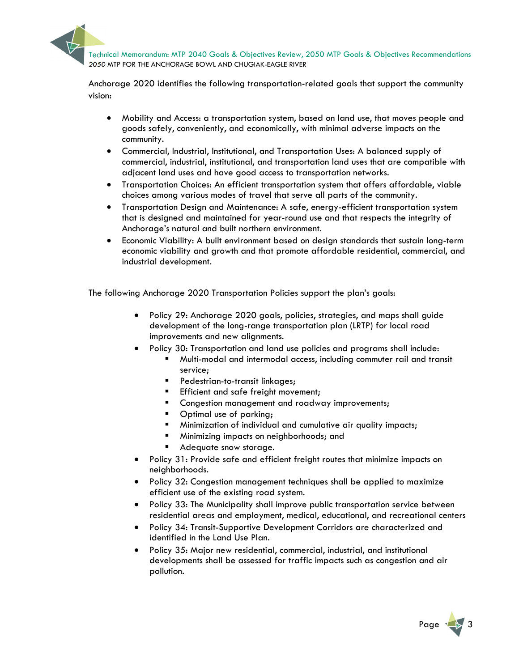

Anchorage 2020 identifies the following transportation-related goals that support the community vision:

- Mobility and Access: a transportation system, based on land use, that moves people and goods safely, conveniently, and economically, with minimal adverse impacts on the community.
- Commercial, Industrial, Institutional, and Transportation Uses: A balanced supply of commercial, industrial, institutional, and transportation land uses that are compatible with adjacent land uses and have good access to transportation networks.
- Transportation Choices: An efficient transportation system that offers affordable, viable choices among various modes of travel that serve all parts of the community.
- Transportation Design and Maintenance: A safe, energy-efficient transportation system that is designed and maintained for year-round use and that respects the integrity of Anchorage's natural and built northern environment.
- Economic Viability: A built environment based on design standards that sustain long-term economic viability and growth and that promote affordable residential, commercial, and industrial development.

The following Anchorage 2020 Transportation Policies support the plan's goals:

- Policy 29: Anchorage 2020 goals, policies, strategies, and maps shall guide development of the long-range transportation plan (LRTP) for local road improvements and new alignments.
- Policy 30: Transportation and land use policies and programs shall include:
	- Multi-modal and intermodal access, including commuter rail and transit service;
	- **Pedestrian-to-transit linkages;**
	- **Efficient and safe freight movement;**
	- Congestion management and roadway improvements;
	- Optimal use of parking;
	- **Minimization of individual and cumulative air quality impacts;**
	- **Minimizing impacts on neighborhoods; and**
	- Adequate snow storage.
- Policy 31: Provide safe and efficient freight routes that minimize impacts on neighborhoods.
- Policy 32: Congestion management techniques shall be applied to maximize efficient use of the existing road system.
- Policy 33: The Municipality shall improve public transportation service between residential areas and employment, medical, educational, and recreational centers
- Policy 34: Transit-Supportive Development Corridors are characterized and identified in the Land Use Plan.
- Policy 35: Major new residential, commercial, industrial, and institutional developments shall be assessed for traffic impacts such as congestion and air pollution.

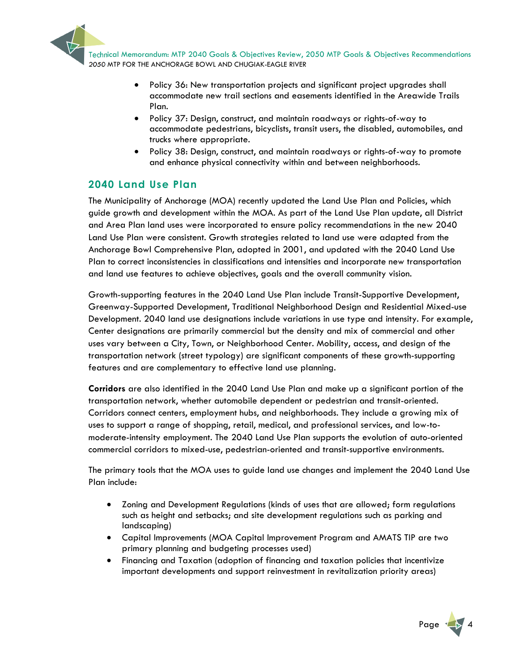Technical Memorandum: MTP 2040 Goals & Objectives Review, 2050 MTP Goals & Objectives Recommendations 2050 MTP FOR THE ANCHORAGE BOWL AND CHUGIAK-EAGLE RIVER

- Policy 36: New transportation projects and significant project upgrades shall accommodate new trail sections and easements identified in the Areawide Trails Plan.
- Policy 37: Design, construct, and maintain roadways or rights-of-way to accommodate pedestrians, bicyclists, transit users, the disabled, automobiles, and trucks where appropriate.
- Policy 38: Design, construct, and maintain roadways or rights-of-way to promote and enhance physical connectivity within and between neighborhoods.

#### **2040 Land Use Plan**

The Municipality of Anchorage (MOA) recently updated the Land Use Plan and Policies, which guide growth and development within the MOA. As part of the Land Use Plan update, all District and Area Plan land uses were incorporated to ensure policy recommendations in the new 2040 Land Use Plan were consistent. Growth strategies related to land use were adapted from the Anchorage Bowl Comprehensive Plan, adopted in 2001, and updated with the 2040 Land Use Plan to correct inconsistencies in classifications and intensities and incorporate new transportation and land use features to achieve objectives, goals and the overall community vision.

Growth-supporting features in the 2040 Land Use Plan include Transit-Supportive Development, Greenway-Supported Development, Traditional Neighborhood Design and Residential Mixed-use Development. 2040 land use designations include variations in use type and intensity. For example, Center designations are primarily commercial but the density and mix of commercial and other uses vary between a City, Town, or Neighborhood Center. Mobility, access, and design of the transportation network (street typology) are significant components of these growth-supporting features and are complementary to effective land use planning.

**Corridors** are also identified in the 2040 Land Use Plan and make up a significant portion of the transportation network, whether automobile dependent or pedestrian and transit-oriented. Corridors connect centers, employment hubs, and neighborhoods. They include a growing mix of uses to support a range of shopping, retail, medical, and professional services, and low-tomoderate-intensity employment. The 2040 Land Use Plan supports the evolution of auto-oriented commercial corridors to mixed-use, pedestrian-oriented and transit-supportive environments.

The primary tools that the MOA uses to guide land use changes and implement the 2040 Land Use Plan include:

- Zoning and Development Regulations (kinds of uses that are allowed; form regulations such as height and setbacks; and site development regulations such as parking and landscaping)
- Capital Improvements (MOA Capital Improvement Program and AMATS TIP are two primary planning and budgeting processes used)
- Financing and Taxation (adoption of financing and taxation policies that incentivize important developments and support reinvestment in revitalization priority areas)

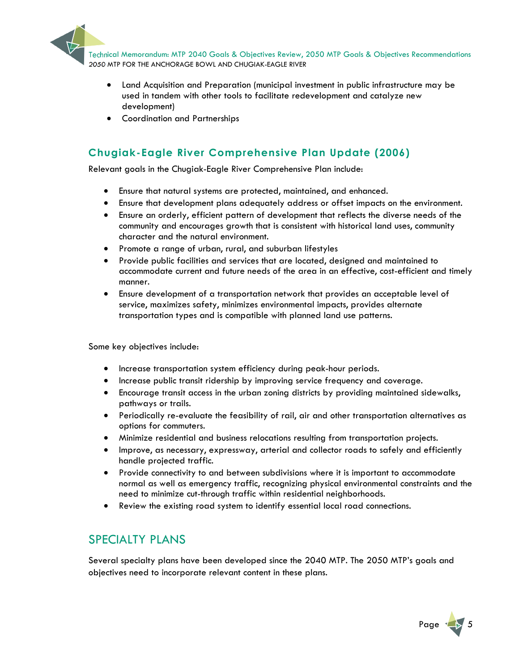

- Land Acquisition and Preparation (municipal investment in public infrastructure may be used in tandem with other tools to facilitate redevelopment and catalyze new development)
- Coordination and Partnerships

## **Chugiak-Eagle River Comprehensive Plan Update (2006)**

Relevant goals in the Chugiak-Eagle River Comprehensive Plan include:

- Ensure that natural systems are protected, maintained, and enhanced.
- Ensure that development plans adequately address or offset impacts on the environment.
- Ensure an orderly, efficient pattern of development that reflects the diverse needs of the community and encourages growth that is consistent with historical land uses, community character and the natural environment.
- Promote a range of urban, rural, and suburban lifestyles
- Provide public facilities and services that are located, designed and maintained to accommodate current and future needs of the area in an effective, cost-efficient and timely manner.
- Ensure development of a transportation network that provides an acceptable level of service, maximizes safety, minimizes environmental impacts, provides alternate transportation types and is compatible with planned land use patterns.

Some key objectives include:

- Increase transportation system efficiency during peak-hour periods.
- **•** Increase public transit ridership by improving service frequency and coverage.
- Encourage transit access in the urban zoning districts by providing maintained sidewalks, pathways or trails.
- Periodically re-evaluate the feasibility of rail, air and other transportation alternatives as options for commuters.
- Minimize residential and business relocations resulting from transportation projects.
- Improve, as necessary, expressway, arterial and collector roads to safely and efficiently handle projected traffic.
- Provide connectivity to and between subdivisions where it is important to accommodate normal as well as emergency traffic, recognizing physical environmental constraints and the need to minimize cut-through traffic within residential neighborhoods.
- Review the existing road system to identify essential local road connections.

## SPECIALTY PLANS

Several specialty plans have been developed since the 2040 MTP. The 2050 MTP's goals and objectives need to incorporate relevant content in these plans.

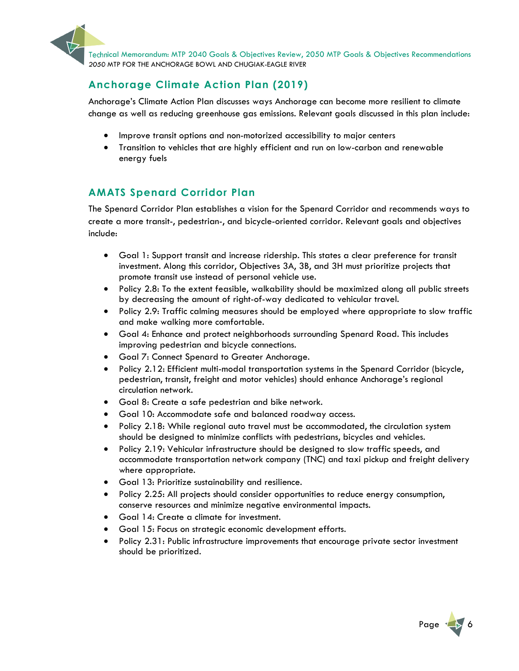

Technical Memorandum: MTP 2040 Goals & Objectives Review, 2050 MTP Goals & Objectives Recommendations 2050 MTP FOR THE ANCHORAGE BOWL AND CHUGIAK-EAGLE RIVER

#### **Anchorage Climate Action Plan (2019)**

Anchorage's Climate Action Plan discusses ways Anchorage can become more resilient to climate change as well as reducing greenhouse gas emissions. Relevant goals discussed in this plan include:

- Improve transit options and non-motorized accessibility to major centers
- Transition to vehicles that are highly efficient and run on low-carbon and renewable energy fuels

#### **AMATS Spenard Corridor Plan**

The Spenard Corridor Plan establishes a vision for the Spenard Corridor and recommends ways to create a more transit-, pedestrian-, and bicycle-oriented corridor. Relevant goals and objectives include:

- Goal 1: Support transit and increase ridership. This states a clear preference for transit investment. Along this corridor, Objectives 3A, 3B, and 3H must prioritize projects that promote transit use instead of personal vehicle use.
- Policy 2.8: To the extent feasible, walkability should be maximized along all public streets by decreasing the amount of right-of-way dedicated to vehicular travel.
- Policy 2.9: Traffic calming measures should be employed where appropriate to slow traffic and make walking more comfortable.
- Goal 4: Enhance and protect neighborhoods surrounding Spenard Road. This includes improving pedestrian and bicycle connections.
- Goal 7: Connect Spenard to Greater Anchorage.
- Policy 2.12: Efficient multi-modal transportation systems in the Spenard Corridor (bicycle, pedestrian, transit, freight and motor vehicles) should enhance Anchorage's regional circulation network.
- Goal 8: Create a safe pedestrian and bike network.
- Goal 10: Accommodate safe and balanced roadway access.
- Policy 2.18: While regional auto travel must be accommodated, the circulation system should be designed to minimize conflicts with pedestrians, bicycles and vehicles.
- Policy 2.19: Vehicular infrastructure should be designed to slow traffic speeds, and accommodate transportation network company (TNC) and taxi pickup and freight delivery where appropriate.
- Goal 13: Prioritize sustainability and resilience.
- Policy 2.25: All projects should consider opportunities to reduce energy consumption, conserve resources and minimize negative environmental impacts.
- Goal 14: Create a climate for investment.
- Goal 15: Focus on strategic economic development efforts.
- Policy 2.31: Public infrastructure improvements that encourage private sector investment should be prioritized.

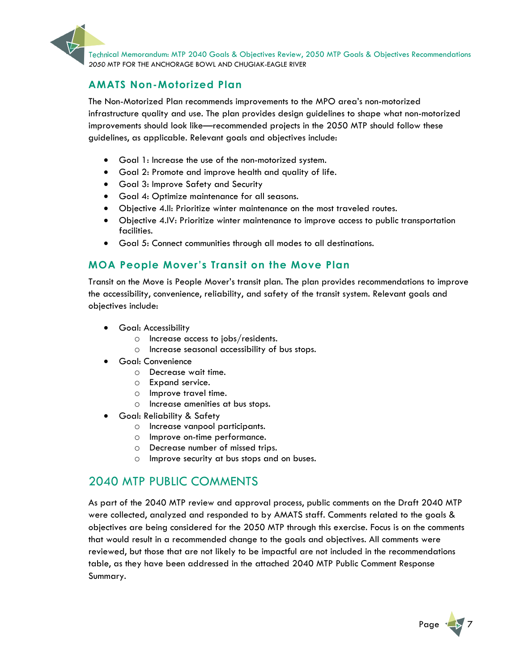

Technical Memorandum: MTP 2040 Goals & Objectives Review, 2050 MTP Goals & Objectives Recommendations<br>2050 MTP FOR THE ANCHORAGE BOWL AND CHUGIAK-EAGLE RIVER

#### **AMATS Non-Motorized Plan**

The Non-Motorized Plan recommends improvements to the MPO area's non-motorized infrastructure quality and use. The plan provides design guidelines to shape what non-motorized improvements should look like—recommended projects in the 2050 MTP should follow these guidelines, as applicable. Relevant goals and objectives include:

- Goal 1: Increase the use of the non-motorized system.
- Goal 2: Promote and improve health and quality of life.
- Goal 3: Improve Safety and Security
- Goal 4: Optimize maintenance for all seasons.
- Objective 4.II: Prioritize winter maintenance on the most traveled routes.
- Objective 4.IV: Prioritize winter maintenance to improve access to public transportation facilities.
- Goal 5: Connect communities through all modes to all destinations.

#### **MOA People Mover's Transit on the Move Plan**

Transit on the Move is People Mover's transit plan. The plan provides recommendations to improve the accessibility, convenience, reliability, and safety of the transit system. Relevant goals and objectives include:

- Goal: Accessibility
	- o Increase access to jobs/residents.
	- o Increase seasonal accessibility of bus stops.
- Goal: Convenience
	- o Decrease wait time.
	- o Expand service.
	- o Improve travel time.
	- o Increase amenities at bus stops.
	- Goal: Reliability & Safety
		- o Increase vanpool participants.
		- o Improve on-time performance.
		- o Decrease number of missed trips.
		- o Improve security at bus stops and on buses.

## 2040 MTP PUBLIC COMMENTS

As part of the 2040 MTP review and approval process, public comments on the Draft 2040 MTP were collected, analyzed and responded to by AMATS staff. Comments related to the goals & objectives are being considered for the 2050 MTP through this exercise. Focus is on the comments that would result in a recommended change to the goals and objectives. All comments were reviewed, but those that are not likely to be impactful are not included in the recommendations table, as they have been addressed in the attached 2040 MTP Public Comment Response Summary.

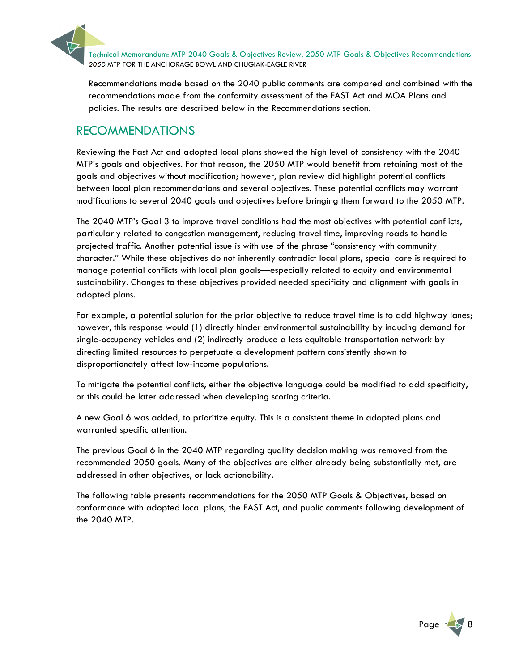Technical Memorandum: MTP 2040 Goals & Objectives Review, 2050 MTP Goals & Objectives Recommendations 2050 MTP FOR THE ANCHORAGE BOWL AND CHUGIAK-EAGLE RIVER

Recommendations made based on the 2040 public comments are compared and combined with the recommendations made from the conformity assessment of the FAST Act and MOA Plans and policies. The results are described below in the Recommendations section.

### RECOMMENDATIONS

Reviewing the Fast Act and adopted local plans showed the high level of consistency with the 2040 MTP's goals and objectives. For that reason, the 2050 MTP would benefit from retaining most of the goals and objectives without modification; however, plan review did highlight potential conflicts between local plan recommendations and several objectives. These potential conflicts may warrant modifications to several 2040 goals and objectives before bringing them forward to the 2050 MTP.

The 2040 MTP's Goal 3 to improve travel conditions had the most objectives with potential conflicts, particularly related to congestion management, reducing travel time, improving roads to handle projected traffic. Another potential issue is with use of the phrase "consistency with community character." While these objectives do not inherently contradict local plans, special care is required to manage potential conflicts with local plan goals—especially related to equity and environmental sustainability. Changes to these objectives provided needed specificity and alignment with goals in adopted plans.

For example, a potential solution for the prior objective to reduce travel time is to add highway lanes; however, this response would (1) directly hinder environmental sustainability by inducing demand for single-occupancy vehicles and (2) indirectly produce a less equitable transportation network by directing limited resources to perpetuate a development pattern consistently shown to disproportionately affect low-income populations.

To mitigate the potential conflicts, either the objective language could be modified to add specificity, or this could be later addressed when developing scoring criteria.

A new Goal 6 was added, to prioritize equity. This is a consistent theme in adopted plans and warranted specific attention.

The previous Goal 6 in the 2040 MTP regarding quality decision making was removed from the recommended 2050 goals. Many of the objectives are either already being substantially met, are addressed in other objectives, or lack actionability.

The following table presents recommendations for the 2050 MTP Goals & Objectives, based on conformance with adopted local plans, the FAST Act, and public comments following development of the 2040 MTP.

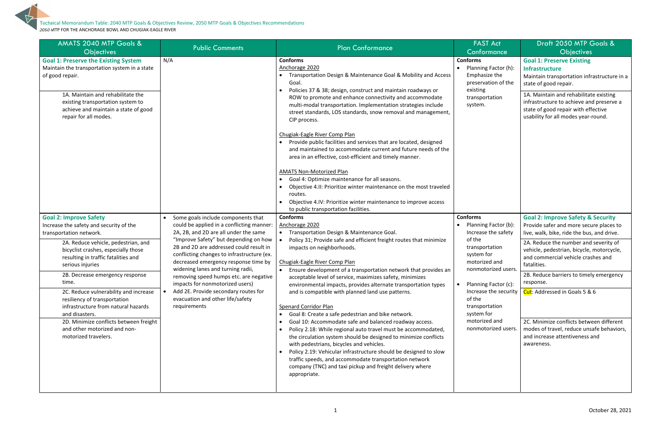| <b>AMATS 2040 MTP Goals &amp;</b><br><b>Objectives</b>                                                                                                                                                                                                                                                                                                                                                                                                                                                                       | <b>Public Comments</b>                                                                                                                                                                                                                                                                                                                                                                                                                                                                                           | <b>Plan Conformance</b>                                                                                                                                                                                                                                                                                                                                                                                                                                                                                                                                                                                                                                                                                                                                                                                                                                                                                                                                                                                                                                                        | <b>FAST Act</b><br>Conformance                                                                                                                                                                                                                             | Draft 2050 MTP Goals &<br><b>Objectives</b>                                                                                                                                                                                                                                                                                                                                                                                                                                                                                                     |
|------------------------------------------------------------------------------------------------------------------------------------------------------------------------------------------------------------------------------------------------------------------------------------------------------------------------------------------------------------------------------------------------------------------------------------------------------------------------------------------------------------------------------|------------------------------------------------------------------------------------------------------------------------------------------------------------------------------------------------------------------------------------------------------------------------------------------------------------------------------------------------------------------------------------------------------------------------------------------------------------------------------------------------------------------|--------------------------------------------------------------------------------------------------------------------------------------------------------------------------------------------------------------------------------------------------------------------------------------------------------------------------------------------------------------------------------------------------------------------------------------------------------------------------------------------------------------------------------------------------------------------------------------------------------------------------------------------------------------------------------------------------------------------------------------------------------------------------------------------------------------------------------------------------------------------------------------------------------------------------------------------------------------------------------------------------------------------------------------------------------------------------------|------------------------------------------------------------------------------------------------------------------------------------------------------------------------------------------------------------------------------------------------------------|-------------------------------------------------------------------------------------------------------------------------------------------------------------------------------------------------------------------------------------------------------------------------------------------------------------------------------------------------------------------------------------------------------------------------------------------------------------------------------------------------------------------------------------------------|
| <b>Goal 1: Preserve the Existing System</b><br>Maintain the transportation system in a state<br>of good repair.<br>1A. Maintain and rehabilitate the<br>existing transportation system to<br>achieve and maintain a state of good<br>repair for all modes.                                                                                                                                                                                                                                                                   | N/A                                                                                                                                                                                                                                                                                                                                                                                                                                                                                                              | <b>Conforms</b><br>Anchorage 2020<br>Transportation Design & Maintenance Goal & Mobility and Access<br>Goal<br>Policies 37 & 38; design, construct and maintain roadways or<br>$\bullet$<br>ROW to promote and enhance connectivity and accommodate<br>multi-modal transportation. Implementation strategies include<br>street standards, LOS standards, snow removal and management,<br>CIP process.<br>Chugiak-Eagle River Comp Plan<br>Provide public facilities and services that are located, designed<br>$\bullet$<br>and maintained to accommodate current and future needs of the<br>area in an effective, cost-efficient and timely manner.<br><b>AMATS Non-Motorized Plan</b><br>Goal 4: Optimize maintenance for all seasons.<br>$\bullet$<br>Objective 4.II: Prioritize winter maintenance on the most traveled<br>$\bullet$<br>routes.<br>Objective 4.IV: Prioritize winter maintenance to improve access<br>to public transportation facilities.                                                                                                                 | <b>Conforms</b><br>Planning Factor (h):<br>Emphasize the<br>preservation of the<br>existing<br>transportation<br>system.                                                                                                                                   | <b>Goal 1: Preserve Existing</b><br><b>Infrastructure</b><br>Maintain transportation infrastructure in a<br>state of good repair.<br>1A. Maintain and rehabilitate existing<br>infrastructure to achieve and preserve a<br>state of good repair with effective<br>usability for all modes year-round.                                                                                                                                                                                                                                           |
| <b>Goal 2: Improve Safety</b><br>Increase the safety and security of the<br>transportation network.<br>2A. Reduce vehicle, pedestrian, and<br>bicyclist crashes, especially those<br>resulting in traffic fatalities and<br>serious injuries<br>2B. Decrease emergency response<br>time.<br>2C. Reduce vulnerability and increase<br>resiliency of transportation<br>infrastructure from natural hazards<br>and disasters.<br>2D. Minimize conflicts between freight<br>and other motorized and non-<br>motorized travelers. | Some goals include components that<br>could be applied in a conflicting manner:<br>2A, 2B, and 2D are all under the same<br>"Improve Safety" but depending on how<br>2B and 2D are addressed could result in<br>conflicting changes to infrastructure (ex.<br>decreased emergency response time by<br>widening lanes and turning radii,<br>removing speed humps etc. are negative<br>impacts for nonmotorized users)<br>Add 2E. Provide secondary routes for<br>evacuation and other life/safety<br>requirements | <b>Conforms</b><br>Anchorage 2020<br>• Transportation Design & Maintenance Goal.<br>Policy 31; Provide safe and efficient freight routes that minimize<br>impacts on neighborhoods.<br>Chugiak-Eagle River Comp Plan<br>Ensure development of a transportation network that provides an<br>$\bullet$<br>acceptable level of service, maximizes safety, minimizes<br>environmental impacts, provides alternate transportation types<br>and is compatible with planned land use patterns.<br>Spenard Corridor Plan<br>Goal 8: Create a safe pedestrian and bike network.<br>$\bullet$<br>Goal 10: Accommodate safe and balanced roadway access.<br>$\bullet$<br>Policy 2.18: While regional auto travel must be accommodated,<br>$\bullet$<br>the circulation system should be designed to minimize conflicts<br>with pedestrians, bicycles and vehicles.<br>Policy 2.19: Vehicular infrastructure should be designed to slow<br>$\bullet$<br>traffic speeds, and accommodate transportation network<br>company (TNC) and taxi pickup and freight delivery where<br>appropriate. | <b>Conforms</b><br>Planning Factor (b):<br>Increase the safety<br>of the<br>transportation<br>system for<br>motorized and<br>nonmotorized users.<br>Planning Factor (c):<br>of the<br>transportation<br>system for<br>motorized and<br>nonmotorized users. | <b>Goal 2: Improve Safety &amp; Security</b><br>Provide safer and more secure places to<br>live, walk, bike, ride the bus, and drive.<br>2A. Reduce the number and severity of<br>vehicle, pedestrian, bicycle, motorcycle,<br>and commercial vehicle crashes and<br>fatalities.<br>2B. Reduce barriers to timely emergency<br>response.<br>Increase the security $\int$ Cut: Addressed in Goals 5 & 6<br>2C. Minimize conflicts between different<br>modes of travel, reduce unsafe behaviors,<br>and increase attentiveness and<br>awareness. |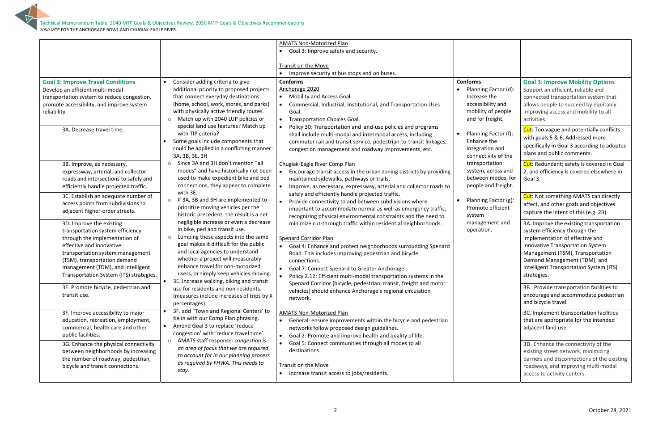|                                                              |                                                                                      | <b>AMATS Non-Motorized Plan</b>                                             |                                           |                                                                          |
|--------------------------------------------------------------|--------------------------------------------------------------------------------------|-----------------------------------------------------------------------------|-------------------------------------------|--------------------------------------------------------------------------|
|                                                              |                                                                                      | Goal 3: Improve safety and security.                                        |                                           |                                                                          |
|                                                              |                                                                                      |                                                                             |                                           |                                                                          |
|                                                              |                                                                                      | Transit on the Move                                                         |                                           |                                                                          |
|                                                              |                                                                                      | Improve security at bus stops and on buses.                                 |                                           |                                                                          |
| <b>Goal 3: Improve Travel Conditions</b>                     | Consider adding criteria to give                                                     | <b>Conforms</b>                                                             | <b>Conforms</b>                           | <b>Goal 3: Improve Mobility Options</b>                                  |
| Develop an efficient multi-modal                             | additional priority to proposed projects                                             | Anchorage 2020                                                              | Planning Factor (d):                      | Support an efficient, reliable and                                       |
| transportation system to reduce congestion,                  | that connect everyday destinations                                                   | • Mobility and Access Goal.                                                 | Increase the                              | connected transportation system that                                     |
| promote accessibility, and improve system                    | (home, school, work, stores, and parks)                                              | Commercial, Industrial, Institutional, and Transportation Uses<br>$\bullet$ | accessibility and                         | allows people to succeed by equitably                                    |
| reliability.                                                 | with physically active friendly routes.                                              | Goal.                                                                       | mobility of people                        | improving access and mobility to all                                     |
|                                                              | Match up with 2040 LUP policies or<br>$\circ$                                        | <b>Transportation Choices Goal.</b><br>$\bullet$                            | and for freight.                          | activities.                                                              |
| 3A. Decrease travel time.                                    | special land use features? Match up                                                  | Policy 30: Transportation and land-use policies and programs<br>$\bullet$   |                                           | Cut: Too vague and potentially conflicts                                 |
|                                                              | with TIP criteria?                                                                   | shall include multi-modal and intermodal access, including                  | Planning Factor (f):                      | with goals 5 & 6. Addressed more                                         |
|                                                              | Some goals include components that                                                   | commuter rail and transit service, pedestrian-to-transit linkages,          | Enhance the                               | specifically in Goal 3 according to adopted                              |
|                                                              | could be applied in a conflicting manner:                                            | congestion management and roadway improvements, etc.                        | integration and                           | plans and public comments.                                               |
|                                                              | 3A, 3B, 3E, 3H                                                                       |                                                                             | connectivity of the                       |                                                                          |
| 3B. Improve, as necessary,                                   | Since 3A and 3H don't mention "all<br>$\circ$                                        | Chugiak-Eagle River Comp Plan                                               | transportation                            | Cut: Redundant; safety is covered in Goal                                |
| expressway, arterial, and collector                          | modes" and have historically not been                                                | Encourage transit access in the urban zoning districts by providing         | system, across and                        | 2, and efficiency is covered elsewhere in                                |
| roads and intersections to safely and                        | used to make expedient bike and ped                                                  | maintained sidewalks, pathways or trails.                                   | between modes, for                        | Goal 3.                                                                  |
| efficiently handle projected traffic.                        | connections, they appear to complete                                                 | Improve, as necessary, expressway, arterial and collector roads to          | people and freight.                       |                                                                          |
| 3C. Establish an adequate number of                          | with 3E.                                                                             | safely and efficiently handle projected traffic.                            |                                           | Cut: Not something AMATS can directly                                    |
| access points from subdivisions to                           | If 3A, 3B and 3H are implemented to<br>$\circ$<br>prioritize moving vehicles per the | Provide connectivity to and between subdivisions where<br>$\bullet$         | Planning Factor (g):<br>Promote efficient | affect, and other goals and objectives                                   |
| adjacent higher-order streets.                               | historic precedent, the result is a net                                              | important to accommodate normal as well as emergency traffic,               |                                           | capture the intent of this (e.g. 2B)                                     |
|                                                              | negligible increase or even a decrease                                               | recognizing physical environmental constraints and the need to              | system<br>management and                  |                                                                          |
| 3D. Improve the existing<br>transportation system efficiency | in bike, ped and transit use.                                                        | minimize cut-through traffic within residential neighborhoods.              | operation.                                | 3A. Improve the existing transportation<br>system efficiency through the |
| through the implementation of                                | Lumping these aspects into the same<br>$\circ$                                       | <b>Spenard Corridor Plan</b>                                                |                                           | implementation of effective and                                          |
| effective and innovative                                     | goal makes it difficult for the public                                               | Goal 4: Enhance and protect neighborhoods surrounding Spenard<br>$\bullet$  |                                           | innovative Transportation System                                         |
| transportation system management                             | and local agencies to understand                                                     | Road. This includes improving pedestrian and bicycle                        |                                           | Management (TSM), Transportation                                         |
| (TSM), transportation demand                                 | whether a project will measurably                                                    | connections.                                                                |                                           | Demand Management (TDM), and                                             |
| management (TDM), and Intelligent                            | enhance travel for non-motorized                                                     | Goal 7: Connect Spenard to Greater Anchorage.<br>$\bullet$                  |                                           | Intelligent Transportation System (ITS)                                  |
| Transportation System (ITS) strategies.                      | users, or simply keep vehicles moving.                                               | Policy 2.12: Efficient multi-modal transportation systems in the            |                                           | strategies.                                                              |
|                                                              | 3E. Increase walking, biking and transit                                             | Spenard Corridor (bicycle, pedestrian, transit, freight and motor           |                                           |                                                                          |
| 3E. Promote bicycle, pedestrian and                          | use for residents and non-residents.                                                 | vehicles) should enhance Anchorage's regional circulation                   |                                           | 3B. Provide transportation facilities to                                 |
| transit use.                                                 | (measures include increases of trips by X)                                           | network.                                                                    |                                           | encourage and accommodate pedestrian                                     |
|                                                              | percentages).                                                                        |                                                                             |                                           | and bicycle travel.                                                      |
| 3F. Improve accessibility to major                           | 3F. add "Town and Regional Centers' to                                               | <b>AMATS Non-Motorized Plan</b>                                             |                                           | 3C. Implement transportation facilities                                  |
| education, recreation, employment,                           | tie in with our Comp Plan phrasing.                                                  | General: ensure improvements within the bicycle and pedestrian<br>$\bullet$ |                                           | that are appropriate for the intended                                    |
| commercial, health care and other                            | Amend Goal 3 to replace 'reduce<br>$\bullet$                                         | networks follow proposed design guidelines.                                 |                                           | adjacent land use.                                                       |
| public facilities.                                           | congestion' with 'reduce travel time'.                                               | Goal 2: Promote and improve health and quality of life.<br>$\bullet$        |                                           |                                                                          |
| 3G. Enhance the physical connectivity                        | AMATS staff response: congestion is<br>$\circ$                                       | Goal 5: Connect communities through all modes to all<br>$\bullet$           |                                           | 3D. Enhance the connectivity of the                                      |
| between neighborhoods by increasing                          | an area of focus that we are required                                                | destinations.                                                               |                                           | existing street network, minimizing                                      |
| the number of roadway, pedestrian,                           | to account for in our planning process                                               |                                                                             |                                           | barriers and disconnections of the existing                              |
| bicycle and transit connections.                             | as required by FHWA. This needs to                                                   | Transit on the Move                                                         |                                           | roadways, and improving multi-modal                                      |
|                                                              | stay.                                                                                | Increase transit access to jobs/residents.                                  |                                           | access to activity centers.                                              |
|                                                              |                                                                                      |                                                                             |                                           |                                                                          |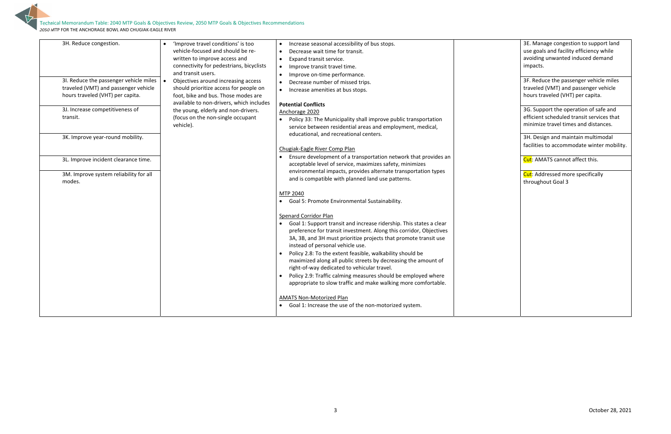

Technical Memorandum Table: 2040 MTP Goals & Objectives Review, 2050 MTP Goals & Objectives Recommendations 2050 MTP FOR THE ANCHORAGE BOWL AND CHUGIAK‐EAGLE RIVER

3H. Design and maintain multimodal facilities to accommodate winter mobility.

Cut: AMATS cannot affect this.

**Cut**: Addressed more specifically throughout Goal 3

| 3H. Reduce congestion.                                                                                             | 'Improve travel conditions' is too<br>$\bullet$<br>vehicle-focused and should be re-<br>written to improve access and<br>connectivity for pedestrians, bicyclists<br>and transit users. | Increase seasonal accessibility of bus stops.<br>$\bullet$<br>Decrease wait time for transit.<br>$\bullet$<br>Expand transit service.<br>$\bullet$<br>Improve transit travel time.<br>$\bullet$<br>Improve on-time performance.<br>$\bullet$                                                                                                                                                                                                                                                                                                                                                                                              |
|--------------------------------------------------------------------------------------------------------------------|-----------------------------------------------------------------------------------------------------------------------------------------------------------------------------------------|-------------------------------------------------------------------------------------------------------------------------------------------------------------------------------------------------------------------------------------------------------------------------------------------------------------------------------------------------------------------------------------------------------------------------------------------------------------------------------------------------------------------------------------------------------------------------------------------------------------------------------------------|
| 3I. Reduce the passenger vehicle miles<br>traveled (VMT) and passenger vehicle<br>hours traveled (VHT) per capita. | Objectives around increasing access<br>$\bullet$<br>should prioritize access for people on<br>foot, bike and bus. Those modes are<br>available to non-drivers, which includes           | Decrease number of missed trips.<br>$\bullet$<br>Increase amenities at bus stops.<br><b>Potential Conflicts</b>                                                                                                                                                                                                                                                                                                                                                                                                                                                                                                                           |
| 3J. Increase competitiveness of<br>transit.                                                                        | the young, elderly and non-drivers.<br>(focus on the non-single occupant<br>vehicle).                                                                                                   | Anchorage 2020<br>Policy 33: The Municipality shall improve public transportation<br>$\bullet$<br>service between residential areas and employment, medical,                                                                                                                                                                                                                                                                                                                                                                                                                                                                              |
| 3K. Improve year-round mobility.                                                                                   |                                                                                                                                                                                         | educational, and recreational centers.<br>Chugiak-Eagle River Comp Plan                                                                                                                                                                                                                                                                                                                                                                                                                                                                                                                                                                   |
| 3L. Improve incident clearance time.<br>3M. Improve system reliability for all<br>modes.                           |                                                                                                                                                                                         | Ensure development of a transportation network that provides an<br>acceptable level of service, maximizes safety, minimizes<br>environmental impacts, provides alternate transportation types<br>and is compatible with planned land use patterns.                                                                                                                                                                                                                                                                                                                                                                                        |
|                                                                                                                    |                                                                                                                                                                                         | MTP 2040<br>Goal 5: Promote Environmental Sustainability.<br>$\bullet$                                                                                                                                                                                                                                                                                                                                                                                                                                                                                                                                                                    |
|                                                                                                                    |                                                                                                                                                                                         | <b>Spenard Corridor Plan</b><br>Goal 1: Support transit and increase ridership. This states a clear<br>$\bullet$<br>preference for transit investment. Along this corridor, Objectives<br>3A, 3B, and 3H must prioritize projects that promote transit use<br>instead of personal vehicle use.<br>Policy 2.8: To the extent feasible, walkability should be<br>$\bullet$<br>maximized along all public streets by decreasing the amount of<br>right-of-way dedicated to vehicular travel.<br>Policy 2.9: Traffic calming measures should be employed where<br>$\bullet$<br>appropriate to slow traffic and make walking more comfortable. |
|                                                                                                                    |                                                                                                                                                                                         | <b>AMATS Non-Motorized Plan</b><br>Goal 1: Increase the use of the non-motorized system.                                                                                                                                                                                                                                                                                                                                                                                                                                                                                                                                                  |

3E. Manage congestion to support land use goals and facility efficiency while avoiding unwanted induced demand impacts.

3F. Reduce the passenger vehicle miles traveled (VMT) and passenger vehicle hours traveled (VHT) per capita.

3G. Support the operation of safe and efficient scheduled transit services that minimize travel times and distances.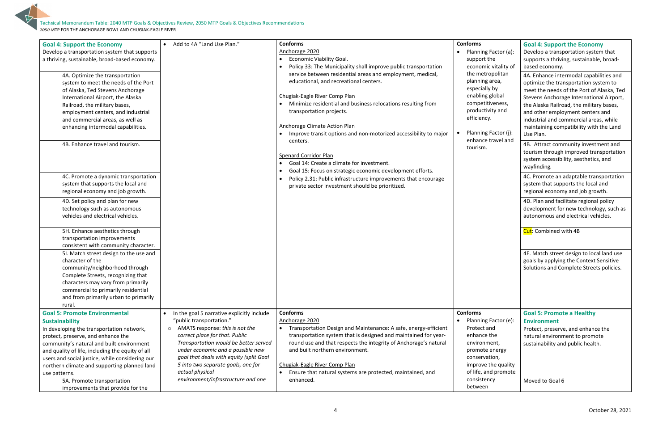

| ; Factor (a):<br>the<br>ic vitality of<br>opolitan<br>area,<br>ly by<br>global<br>tiveness,<br>vity and<br>у.<br>Factor (j):<br>travel and | <b>Goal 4: Support the Economy</b><br>Develop a transportation system that<br>supports a thriving, sustainable, broad-<br>based economy.<br>4A. Enhance intermodal capabilities and<br>optimize the transportation system to<br>meet the needs of the Port of Alaska, Ted<br>Stevens Anchorage International Airport,<br>the Alaska Railroad, the military bases,<br>and other employment centers and<br>industrial and commercial areas, while<br>maintaining compatibility with the Land<br>Use Plan.<br>4B. Attract community investment and<br>tourism through improved transportation<br>system accessibility, aesthetics, and<br>wayfinding.<br>4C. Promote an adaptable transportation<br>system that supports the local and<br>regional economy and job growth.<br>4D. Plan and facilitate regional policy<br>development for new technology, such as<br>autonomous and electrical vehicles.<br>Cut: Combined with 4B<br>4E. Match street design to local land use<br>goals by applying the Context Sensitive<br>Solutions and Complete Streets policies. |
|--------------------------------------------------------------------------------------------------------------------------------------------|-------------------------------------------------------------------------------------------------------------------------------------------------------------------------------------------------------------------------------------------------------------------------------------------------------------------------------------------------------------------------------------------------------------------------------------------------------------------------------------------------------------------------------------------------------------------------------------------------------------------------------------------------------------------------------------------------------------------------------------------------------------------------------------------------------------------------------------------------------------------------------------------------------------------------------------------------------------------------------------------------------------------------------------------------------------------|
|                                                                                                                                            | <b>Goal 5: Promote a Healthy</b>                                                                                                                                                                                                                                                                                                                                                                                                                                                                                                                                                                                                                                                                                                                                                                                                                                                                                                                                                                                                                                  |
| Factor (e):<br>and<br>the<br>nent,<br>energy ؛<br>ation,<br>the quality<br>nd promote<br>ncy                                               | <b>Environment</b><br>Protect, preserve, and enhance the<br>natural environment to promote<br>sustainability and public health.<br>Moved to Goal 6                                                                                                                                                                                                                                                                                                                                                                                                                                                                                                                                                                                                                                                                                                                                                                                                                                                                                                                |
|                                                                                                                                            |                                                                                                                                                                                                                                                                                                                                                                                                                                                                                                                                                                                                                                                                                                                                                                                                                                                                                                                                                                                                                                                                   |

| <b>Goal 4: Support the Economy</b><br>Develop a transportation system that supports<br>a thriving, sustainable, broad-based economy.<br>4A. Optimize the transportation<br>system to meet the needs of the Port<br>of Alaska, Ted Stevens Anchorage<br>International Airport, the Alaska<br>Railroad, the military bases,<br>employment centers, and industrial<br>and commercial areas, as well as<br>enhancing intermodal capabilities.<br>4B. Enhance travel and tourism. | Add to 4A "Land Use Plan."                                                                                                                                                                                                                                                                                                                                                     | <b>Conforms</b><br>Anchorage 2020<br><b>Economic Viability Goal.</b><br>$\bullet$<br>Policy 33: The Municipality shall improve public transportation<br>service between residential areas and employment, medical,<br>educational, and recreational centers.<br>Chugiak-Eagle River Comp Plan<br>Minimize residential and business relocations resulting from<br>transportation projects.<br><b>Anchorage Climate Action Plan</b><br>Improve transit options and non-motorized accessibility to major<br>centers.<br>Spenard Corridor Plan<br>Goal 14: Create a climate for investment. | <b>Conforms</b><br>• Planning Factor (a):<br>support the<br>economic vitality of<br>the metropolitan<br>planning area,<br>especially by<br>enabling global<br>competitiveness,<br>productivity and<br>efficiency.<br>Planning Factor (j):<br>$\bullet$<br>enhance travel and<br>tourism. | <b>Goal 4: Support the Economy</b><br>Develop a transportation system that<br>supports a thriving, sustainable, broad-<br>based economy.<br>4A. Enhance intermodal capabilities an<br>optimize the transportation system to<br>meet the needs of the Port of Alaska, T<br>Stevens Anchorage International Airpor<br>the Alaska Railroad, the military bases,<br>and other employment centers and<br>industrial and commercial areas, while<br>maintaining compatibility with the Land<br>Use Plan.<br>4B. Attract community investment and<br>tourism through improved transportati<br>system accessibility, aesthetics, and<br>wayfinding. |
|------------------------------------------------------------------------------------------------------------------------------------------------------------------------------------------------------------------------------------------------------------------------------------------------------------------------------------------------------------------------------------------------------------------------------------------------------------------------------|--------------------------------------------------------------------------------------------------------------------------------------------------------------------------------------------------------------------------------------------------------------------------------------------------------------------------------------------------------------------------------|-----------------------------------------------------------------------------------------------------------------------------------------------------------------------------------------------------------------------------------------------------------------------------------------------------------------------------------------------------------------------------------------------------------------------------------------------------------------------------------------------------------------------------------------------------------------------------------------|------------------------------------------------------------------------------------------------------------------------------------------------------------------------------------------------------------------------------------------------------------------------------------------|---------------------------------------------------------------------------------------------------------------------------------------------------------------------------------------------------------------------------------------------------------------------------------------------------------------------------------------------------------------------------------------------------------------------------------------------------------------------------------------------------------------------------------------------------------------------------------------------------------------------------------------------|
| 4C. Promote a dynamic transportation<br>system that supports the local and<br>regional economy and job growth.                                                                                                                                                                                                                                                                                                                                                               |                                                                                                                                                                                                                                                                                                                                                                                | Goal 15: Focus on strategic economic development efforts.<br>Policy 2.31: Public infrastructure improvements that encourage<br>private sector investment should be prioritized.                                                                                                                                                                                                                                                                                                                                                                                                         |                                                                                                                                                                                                                                                                                          | 4C. Promote an adaptable transportation<br>system that supports the local and<br>regional economy and job growth.                                                                                                                                                                                                                                                                                                                                                                                                                                                                                                                           |
| 4D. Set policy and plan for new<br>technology such as autonomous<br>vehicles and electrical vehicles.                                                                                                                                                                                                                                                                                                                                                                        |                                                                                                                                                                                                                                                                                                                                                                                |                                                                                                                                                                                                                                                                                                                                                                                                                                                                                                                                                                                         |                                                                                                                                                                                                                                                                                          | 4D. Plan and facilitate regional policy<br>development for new technology, such<br>autonomous and electrical vehicles.                                                                                                                                                                                                                                                                                                                                                                                                                                                                                                                      |
| 5H. Enhance aesthetics through<br>transportation improvements<br>consistent with community character.                                                                                                                                                                                                                                                                                                                                                                        |                                                                                                                                                                                                                                                                                                                                                                                |                                                                                                                                                                                                                                                                                                                                                                                                                                                                                                                                                                                         |                                                                                                                                                                                                                                                                                          | Cut: Combined with 4B                                                                                                                                                                                                                                                                                                                                                                                                                                                                                                                                                                                                                       |
| 51. Match street design to the use and<br>character of the<br>community/neighborhood through<br>Complete Streets, recognizing that<br>characters may vary from primarily<br>commercial to primarily residential<br>and from primarily urban to primarily<br>rural                                                                                                                                                                                                            |                                                                                                                                                                                                                                                                                                                                                                                |                                                                                                                                                                                                                                                                                                                                                                                                                                                                                                                                                                                         |                                                                                                                                                                                                                                                                                          | 4E. Match street design to local land us<br>goals by applying the Context Sensitive<br>Solutions and Complete Streets policies                                                                                                                                                                                                                                                                                                                                                                                                                                                                                                              |
| <b>Goal 5: Promote Environmental</b><br><b>Sustainability</b><br>In developing the transportation network,<br>protect, preserve, and enhance the<br>community's natural and built environment<br>and quality of life, including the equity of all<br>users and social justice, while considering our<br>northern climate and supporting planned land<br>use patterns.<br>5A. Promote transportation<br>improvements that provide for the                                     | In the goal 5 narrative explicitly include<br>"public transportation."<br>AMATS response: this is not the<br>$\circ$<br>correct place for that. Public<br>Transportation would be better served<br>under economic and a possible new<br>goal that deals with equity (split Goal<br>5 into two separate goals, one for<br>actual physical<br>environment/infrastructure and one | <b>Conforms</b><br>Anchorage 2020<br>Transportation Design and Maintenance: A safe, energy-efficient<br>transportation system that is designed and maintained for year-<br>round use and that respects the integrity of Anchorage's natural<br>and built northern environment.<br>Chugiak-Eagle River Comp Plan<br>Ensure that natural systems are protected, maintained, and<br>$\bullet$<br>enhanced.                                                                                                                                                                                 | <b>Conforms</b><br>• Planning Factor (e):<br>Protect and<br>enhance the<br>environment,<br>promote energy<br>conservation,<br>improve the quality<br>of life, and promote<br>consistency<br>between                                                                                      | <b>Goal 5: Promote a Healthy</b><br><b>Environment</b><br>Protect, preserve, and enhance the<br>natural environment to promote<br>sustainability and public health.<br>Moved to Goal 6                                                                                                                                                                                                                                                                                                                                                                                                                                                      |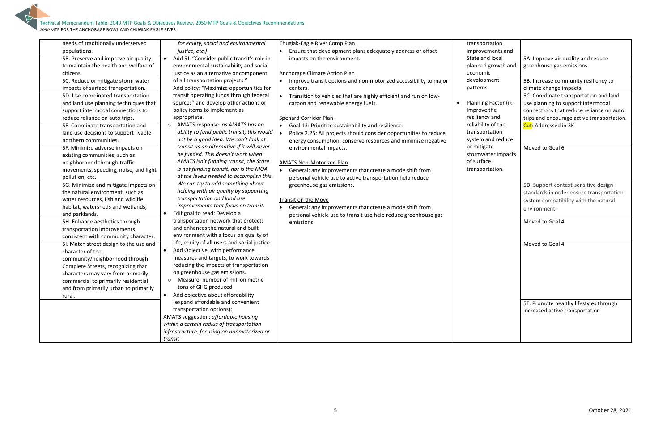5

| sportation<br>ovements and |                                            |
|----------------------------|--------------------------------------------|
| e and local                | 5A. Improve air quality and reduce         |
| ned growth and<br>ıomic    | greenhouse gas emissions.                  |
| lopment                    | 5B. Increase community resiliency to       |
| erns.                      | climate change impacts.                    |
|                            | 5C. Coordinate transportation and land     |
| ning Factor (i):           | use planning to support intermodal         |
| ove the                    | connections that reduce reliance on auto   |
| iency and                  | trips and encourage active transportation. |
| bility of the              | Cut: Addressed in 3K                       |
| sportation                 |                                            |
| em and reduce              |                                            |
| itigate                    | Moved to Goal 6                            |
| mwater impacts<br>urface   |                                            |
| sportation.                |                                            |
|                            |                                            |
|                            | 5D. Support context-sensitive design       |
|                            | standards in order ensure transportation   |
|                            | system compatibility with the natural      |
|                            | environment.                               |
|                            |                                            |
|                            | Moved to Goal 4                            |
|                            |                                            |
|                            | Moved to Goal 4                            |
|                            |                                            |
|                            |                                            |
|                            |                                            |
|                            |                                            |
|                            |                                            |
|                            |                                            |
|                            |                                            |
|                            | 5E. Promote healthy lifestyles through     |
|                            | increased active transportation.           |
|                            |                                            |
|                            |                                            |
|                            |                                            |
|                            |                                            |

| needs of traditionally underserved     | for equity, social and environmental                    | Chugiak-Eagle River Comp Plan                                                  | transportation        |
|----------------------------------------|---------------------------------------------------------|--------------------------------------------------------------------------------|-----------------------|
| populations.                           | justice, etc.)                                          | Ensure that development plans adequately address or offset                     | improvements          |
| 5B. Preserve and improve air quality   | Add 5J. "Consider public transit's role in<br>$\bullet$ | impacts on the environment.                                                    | State and local       |
| to maintain the health and welfare of  | environmental sustainability and social                 |                                                                                | planned growt         |
| citizens.                              | justice as an alternative or component                  | <b>Anchorage Climate Action Plan</b>                                           | economic              |
| 5C. Reduce or mitigate storm water     | of all transportation projects."                        | Improve transit options and non-motorized accessibility to major<br>$\bullet$  | development           |
| impacts of surface transportation.     | Add policy: "Maximize opportunities for                 | centers.                                                                       | patterns.             |
| 5D. Use coordinated transportation     | transit operating funds through federal                 | Transition to vehicles that are highly efficient and run on low-               |                       |
| and land use planning techniques that  | sources" and develop other actions or                   | carbon and renewable energy fuels.                                             | <b>Planning Facto</b> |
| support intermodal connections to      | policy items to implement as                            |                                                                                | Improve the           |
| reduce reliance on auto trips.         | appropriate.                                            | Spenard Corridor Plan                                                          | resiliency and        |
| 5E. Coordinate transportation and      | AMATS response: as AMATS has no<br>$\circ$              | Goal 13: Prioritize sustainability and resilience.                             | reliability of th     |
| land use decisions to support livable  | ability to fund public transit, this would              | Policy 2.25: All projects should consider opportunities to reduce<br>$\bullet$ | transportation        |
| northern communities.                  | not be a good idea. We can't look at                    | energy consumption, conserve resources and minimize negative                   | system and red        |
| 5F. Minimize adverse impacts on        | transit as an alternative if it will never              | environmental impacts.                                                         | or mitigate           |
| existing communities, such as          | be funded. This doesn't work when                       |                                                                                | stormwater im         |
| neighborhood through-traffic           | AMATS isn't funding transit, the State                  | AMATS Non-Motorized Plan                                                       | of surface            |
| movements, speeding, noise, and light  | is not funding transit, nor is the MOA                  | General: any improvements that create a mode shift from                        | transportation        |
| pollution, etc.                        | at the levels needed to accomplish this.                | personal vehicle use to active transportation help reduce                      |                       |
| 5G. Minimize and mitigate impacts on   | We can try to add something about                       | greenhouse gas emissions.                                                      |                       |
| the natural environment, such as       | helping with air quality by supporting                  |                                                                                |                       |
| water resources, fish and wildlife     | transportation and land use                             | Transit on the Move                                                            |                       |
| habitat, watersheds and wetlands,      | improvements that focus on transit.                     | General: any improvements that create a mode shift from                        |                       |
| and parklands.                         | Edit goal to read: Develop a<br>$\bullet$               | personal vehicle use to transit use help reduce greenhouse gas                 |                       |
| 5H. Enhance aesthetics through         | transportation network that protects                    | emissions.                                                                     |                       |
| transportation improvements            | and enhances the natural and built                      |                                                                                |                       |
| consistent with community character.   | environment with a focus on quality of                  |                                                                                |                       |
| 5I. Match street design to the use and | life, equity of all users and social justice.           |                                                                                |                       |
| character of the                       | Add Objective, with performance<br>$\bullet$            |                                                                                |                       |
| community/neighborhood through         | measures and targets, to work towards                   |                                                                                |                       |
| Complete Streets, recognizing that     | reducing the impacts of transportation                  |                                                                                |                       |
| characters may vary from primarily     | on greenhouse gas emissions.                            |                                                                                |                       |
| commercial to primarily residential    | Measure: number of million metric<br>$\circ$            |                                                                                |                       |
| and from primarily urban to primarily  | tons of GHG produced                                    |                                                                                |                       |
| rural.                                 | Add objective about affordability                       |                                                                                |                       |
|                                        | (expand affordable and convenient                       |                                                                                |                       |
|                                        | transportation options);                                |                                                                                |                       |
|                                        | AMATS suggestion: affordable housing                    |                                                                                |                       |
|                                        | within a certain radius of transportation               |                                                                                |                       |
|                                        | infrastructure, focusing on nonmotorized or             |                                                                                |                       |
|                                        | transit                                                 |                                                                                |                       |